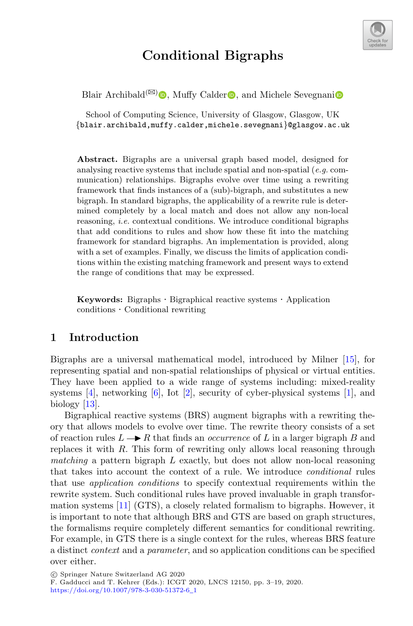# **Conditional Bigraphs**

Bla[i](http://orcid.org/0000-0001-6773-9481)r Archibald<sup>( $\boxtimes$ )</sup>  $\bullet$ [,](http://orcid.org/0000-0001-5033-7232) Muffy Calder  $\bullet$ , and Michele Sevegnani

School of Computing Science, University of Glasgow, Glasgow, UK {blair.archibald,muffy.calder,michele.sevegnani}@glasgow.ac.uk

**Abstract.** Bigraphs are a universal graph based model, designed for analysing reactive systems that include spatial and non-spatial (*e.g.* communication) relationships. Bigraphs evolve over time using a rewriting framework that finds instances of a (sub)-bigraph, and substitutes a new bigraph. In standard bigraphs, the applicability of a rewrite rule is determined completely by a local match and does not allow any non-local reasoning, *i.e.* contextual conditions. We introduce conditional bigraphs that add conditions to rules and show how these fit into the matching framework for standard bigraphs. An implementation is provided, along with a set of examples. Finally, we discuss the limits of application conditions within the existing matching framework and present ways to extend the range of conditions that may be expressed.

**Keywords:** Bigraphs · Bigraphical reactive systems · Application conditions · Conditional rewriting

# **1 Introduction**

Bigraphs are a universal mathematical model, introduced by Milner [\[15](#page-16-0)], for representing spatial and non-spatial relationships of physical or virtual entities. They have been applied to a wide range of systems including: mixed-reality systems  $[4]$  $[4]$ , networking  $[6]$  $[6]$ , Iot  $[2]$  $[2]$ , security of cyber-physical systems  $[1]$ , and biology [\[13\]](#page-16-1).

Bigraphical reactive systems (BRS) augment bigraphs with a rewriting theory that allows models to evolve over time. The rewrite theory consists of a set of reaction rules  $L \longrightarrow R$  that finds an *occurrence* of L in a larger bigraph B and replaces it with R. This form of rewriting only allows local reasoning through  $matching$  a pattern bigraph  $L$  exactly, but does not allow non-local reasoning that takes into account the context of a rule. We introduce *conditional* rules that use *application conditions* to specify contextual requirements within the rewrite system. Such conditional rules have proved invaluable in graph transformation systems [\[11\]](#page-15-4) (GTS), a closely related formalism to bigraphs. However, it is important to note that although BRS and GTS are based on graph structures, the formalisms require completely different semantics for conditional rewriting. For example, in GTS there is a single context for the rules, whereas BRS feature a distinct *context* and a *parameter*, and so application conditions can be specified over either.

-c Springer Nature Switzerland AG 2020

F. Gadducci and T. Kehrer (Eds.): ICGT 2020, LNCS 12150, pp. 3–19, 2020. [https://doi.org/10.1007/978-3-030-51372-6](https://doi.org/10.1007/978-3-030-51372-6_1)\_1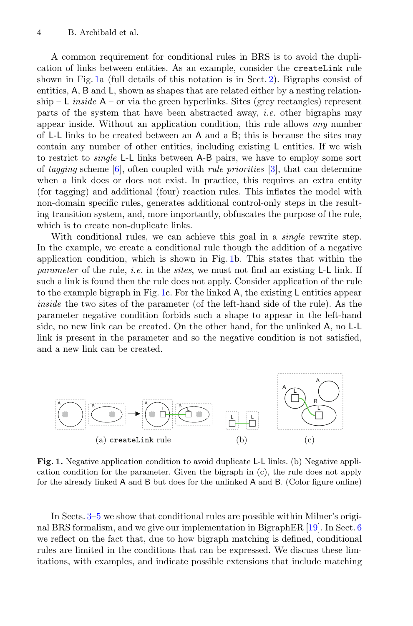A common requirement for conditional rules in BRS is to avoid the duplication of links between entities. As an example, consider the createLink rule shown in Fig. [1a](#page-1-0) (full details of this notation is in Sect. [2\)](#page-2-0). Bigraphs consist of entities, A, B and L, shown as shapes that are related either by a nesting relationship  $- L$  *inside*  $A -$  or via the green hyperlinks. Sites (grey rectangles) represent parts of the system that have been abstracted away, *i.e.* other bigraphs may appear inside. Without an application condition, this rule allows *any* number of L-L links to be created between an A and a B; this is because the sites may contain any number of other entities, including existing L entities. If we wish to restrict to *single* L-L links between A-B pairs, we have to employ some sort of *tagging* scheme [\[6](#page-15-1)], often coupled with *rule priorities* [\[3\]](#page-15-5), that can determine when a link does or does not exist. In practice, this requires an extra entity (for tagging) and additional (four) reaction rules. This inflates the model with non-domain specific rules, generates additional control-only steps in the resulting transition system, and, more importantly, obfuscates the purpose of the rule, which is to create non-duplicate links.

With conditional rules, we can achieve this goal in a *single* rewrite step. In the example, we create a conditional rule though the addition of a negative application condition, which is shown in Fig. [1b](#page-1-0). This states that within the *parameter* of the rule, *i.e.* in the *sites*, we must not find an existing L-L link. If such a link is found then the rule does not apply. Consider application of the rule to the example bigraph in Fig. [1c](#page-1-0). For the linked A, the existing L entities appear *inside* the two sites of the parameter (of the left-hand side of the rule). As the parameter negative condition forbids such a shape to appear in the left-hand side, no new link can be created. On the other hand, for the unlinked A, no L-L link is present in the parameter and so the negative condition is not satisfied, and a new link can be created.



<span id="page-1-0"></span>**Fig. 1.** Negative application condition to avoid duplicate L-L links. (b) Negative application condition for the parameter. Given the bigraph in (c), the rule does not apply for the already linked A and B but does for the unlinked A and B. (Color figure online)

In Sects. [3–](#page-5-0)[5](#page-7-0) we show that conditional rules are possible within Milner's original BRS formalism, and we give our implementation in BigraphER [\[19](#page-16-2)]. In Sect. [6](#page-10-0) we reflect on the fact that, due to how bigraph matching is defined, conditional rules are limited in the conditions that can be expressed. We discuss these limitations, with examples, and indicate possible extensions that include matching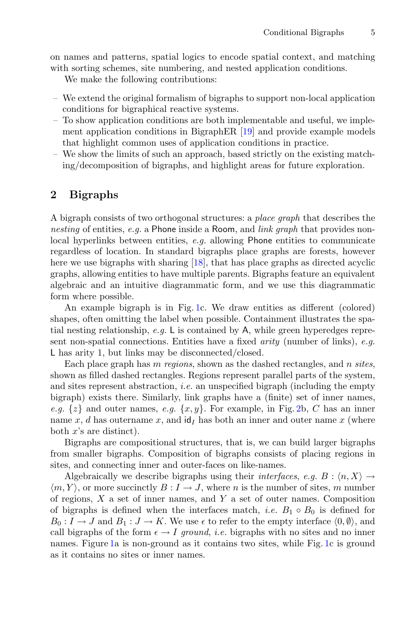on names and patterns, spatial logics to encode spatial context, and matching with sorting schemes, site numbering, and nested application conditions.

We make the following contributions:

- We extend the original formalism of bigraphs to support non-local application conditions for bigraphical reactive systems.
- To show application conditions are both implementable and useful, we implement application conditions in BigraphER [\[19](#page-16-2)] and provide example models that highlight common uses of application conditions in practice.
- We show the limits of such an approach, based strictly on the existing matching/decomposition of bigraphs, and highlight areas for future exploration.

# <span id="page-2-0"></span>**2 Bigraphs**

A bigraph consists of two orthogonal structures: a *place graph* that describes the *nesting* of entities, *e.g.* a Phone inside a Room, and *link graph* that provides nonlocal hyperlinks between entities, *e.g.* allowing Phone entities to communicate regardless of location. In standard bigraphs place graphs are forests, however here we use bigraphs with sharing [\[18](#page-16-3)], that has place graphs as directed acyclic graphs, allowing entities to have multiple parents. Bigraphs feature an equivalent algebraic and an intuitive diagrammatic form, and we use this diagrammatic form where possible.

An example bigraph is in Fig. [1c](#page-1-0). We draw entities as different (colored) shapes, often omitting the label when possible. Containment illustrates the spatial nesting relationship, *e.g.* L is contained by A, while green hyperedges represent non-spatial connections. Entities have a fixed *arity* (number of links), *e.g.* L has arity 1, but links may be disconnected/closed.

Each place graph has m *regions*, shown as the dashed rectangles, and n *sites*, shown as filled dashed rectangles. Regions represent parallel parts of the system, and sites represent abstraction, *i.e.* an unspecified bigraph (including the empty bigraph) exists there. Similarly, link graphs have a (finite) set of inner names, *e.g.*  $\{z\}$  and outer names, *e.g.*  $\{x, y\}$ . For example, in Fig. [2b](#page-4-0), C has an inner name x, d has outername x, and  $\mathrm{id}_I$  has both an inner and outer name x (where both  $x$ 's are distinct).

Bigraphs are compositional structures, that is, we can build larger bigraphs from smaller bigraphs. Composition of bigraphs consists of placing regions in sites, and connecting inner and outer-faces on like-names.

Algebraically we describe bigraphs using their *interfaces*, *e.g.*  $B: \langle n, X \rangle \rightarrow$  $\langle m, Y \rangle$ , or more succinctly  $B: I \to J$ , where *n* is the number of sites, *m* number of regions,  $X$  a set of inner names, and  $Y$  a set of outer names. Composition of bigraphs is defined when the interfaces match, *i.e.*  $B_1 \circ B_0$  is defined for  $B_0: I \to J$  and  $B_1: J \to K$ . We use  $\epsilon$  to refer to the empty interface  $\langle 0, \emptyset \rangle$ , and call bigraphs of the form  $\epsilon \to I$  *ground*, *i.e.* bigraphs with no sites and no inner names. Figure [1a](#page-1-0) is non-ground as it contains two sites, while Fig. [1c](#page-1-0) is ground as it contains no sites or inner names.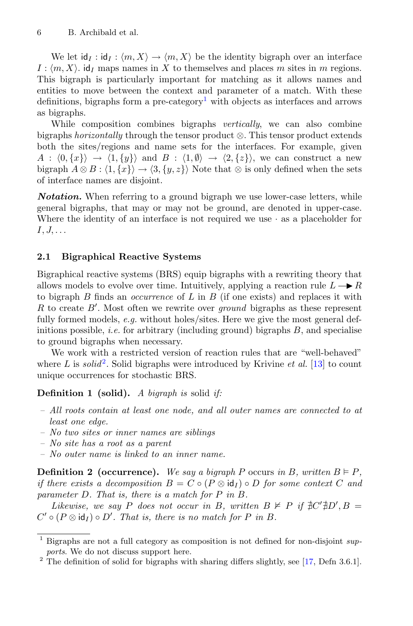We let  $id_I : \langle m, X \rangle \to \langle m, X \rangle$  be the identity bigraph over an interface  $I: \langle m, X \rangle$  id<sub>I</sub> maps names in X to themselves and places m sites in m regions. This bigraph is particularly important for matching as it allows names and entities to move between the context and parameter of a match. With these definitions, bigraphs form a pre-category<sup>[1](#page-3-0)</sup> with objects as interfaces and arrows as bigraphs.

While composition combines bigraphs *vertically*, we can also combine bigraphs *horizontally* through the tensor product ⊗. This tensor product extends both the sites/regions and name sets for the interfaces. For example, given  $A : \langle 0, \{x\} \rangle \to \langle 1, \{y\} \rangle$  and  $B : \langle 1, \emptyset \rangle \to \langle 2, \{z\} \rangle$ , we can construct a new bigraph  $A \otimes B$ :  $\langle 1, \{x\} \rangle \rightarrow \langle 3, \{y, z\} \rangle$  Note that  $\otimes$  is only defined when the sets of interface names are disjoint.

*Notation*. When referring to a ground bigraph we use lower-case letters, while general bigraphs, that may or may not be ground, are denoted in upper-case. Where the identity of an interface is not required we use  $\cdot$  as a placeholder for  $I, J, \ldots$ 

#### **2.1 Bigraphical Reactive Systems**

Bigraphical reactive systems (BRS) equip bigraphs with a rewriting theory that allows models to evolve over time. Intuitively, applying a reaction rule  $L \rightarrow R$ to bigraph B finds an *occurrence* of L in B (if one exists) and replaces it with R to create B . Most often we rewrite over *ground* bigraphs as these represent fully formed models, *e.g.* without holes/sites. Here we give the most general definitions possible, *i.e.* for arbitrary (including ground) bigraphs  $B$ , and specialise to ground bigraphs when necessary.

We work with a restricted version of reaction rules that are "well-behaved" where L is *solid*<sup>[2](#page-3-1)</sup>. Solid bigraphs were introduced by Krivine *et al.* [\[13](#page-16-1)] to count unique occurrences for stochastic BRS.

#### **Definition 1 (solid).** *A bigraph is* solid *if:*

- *All roots contain at least one node, and all outer names are connected to at least one edge.*
- *No two sites or inner names are siblings*
- *No site has a root as a parent*
- *No outer name is linked to an inner name.*

**Definition 2 (occurrence).** We say a bigraph P occurs in B, written  $B \models P$ , *if there exists a decomposition*  $B = C \circ (P \otimes id_I) \circ D$  *for some context* C *and parameter* D*. That is, there is a match for* P *in* B*.*

*Likewise, we say* P *does not occur in* B, written  $B \not\models P$  if  $\frac{\dagger}{\mathcal{A}}C'\frac{\dagger}{\mathcal{A}}D', B =$  $C' \circ (P \otimes id_I) \circ D'.$  That is, there is no match for P in B.

<span id="page-3-0"></span><sup>&</sup>lt;sup>1</sup> Bigraphs are not a full category as composition is not defined for non-disjoint *sup-* ports. We do not discuss support here.

<span id="page-3-1"></span> $^{2}$  The definition of solid for bigraphs with sharing differs slightly, see [\[17,](#page-16-4) Defn 3.6.1].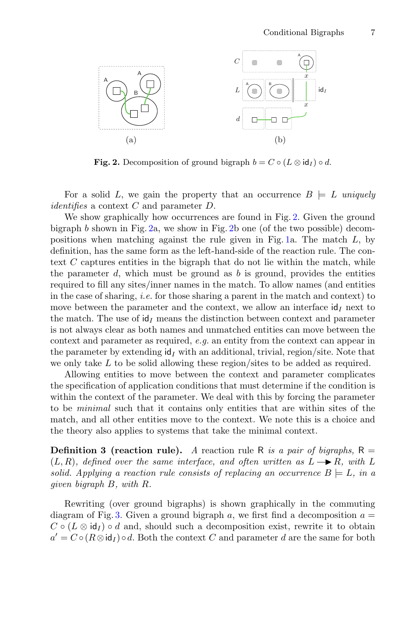

<span id="page-4-0"></span>**Fig. 2.** Decomposition of ground bigraph  $b = C \circ (L \otimes id_I) \circ d$ .

For a solid L, we gain the property that an occurrence  $B \models L$  *uniquely identifies* a context C and parameter D.

We show graphically how occurrences are found in Fig. [2.](#page-4-0) Given the ground bigraph  $b$  shown in Fig.  $2a$ , we show in Fig.  $2b$  one (of the two possible) decom-positions when matching against the rule given in Fig. [1a](#page-1-0). The match  $L$ , by definition, has the same form as the left-hand-side of the reaction rule. The context C captures entities in the bigraph that do not lie within the match, while the parameter  $d$ , which must be ground as  $b$  is ground, provides the entities required to fill any sites/inner names in the match. To allow names (and entities in the case of sharing, *i.e.* for those sharing a parent in the match and context) to move between the parameter and the context, we allow an interface  $\mathbf{d}_I$  next to the match. The use of  $\mathsf{id}_I$  means the distinction between context and parameter is not always clear as both names and unmatched entities can move between the context and parameter as required, *e.g.* an entity from the context can appear in the parameter by extending  $\mathbf{id}_I$  with an additional, trivial, region/site. Note that we only take L to be solid allowing these region/sites to be added as required.

Allowing entities to move between the context and parameter complicates the specification of application conditions that must determine if the condition is within the context of the parameter. We deal with this by forcing the parameter to be *minimal* such that it contains only entities that are within sites of the match, and all other entities move to the context. We note this is a choice and the theory also applies to systems that take the minimal context.

**Definition 3 (reaction rule).** *A* reaction rule R *is a pair of bigraphs*,  $R =$  $(L, R)$ , defined over the same interface, and often written as  $L \rightarrow R$ , with L *solid. Applying a reaction rule consists of replacing an occurrence*  $B \models L$ *, in a given bigraph* B*, with* R*.*

Rewriting (over ground bigraphs) is shown graphically in the commuting diagram of Fig. [3.](#page-5-1) Given a ground bigraph a, we first find a decomposition  $a =$  $C \circ (L \otimes id_I) \circ d$  and, should such a decomposition exist, rewrite it to obtain  $a' = C \circ (R \otimes id_I) \circ d$ . Both the context C and parameter d are the same for both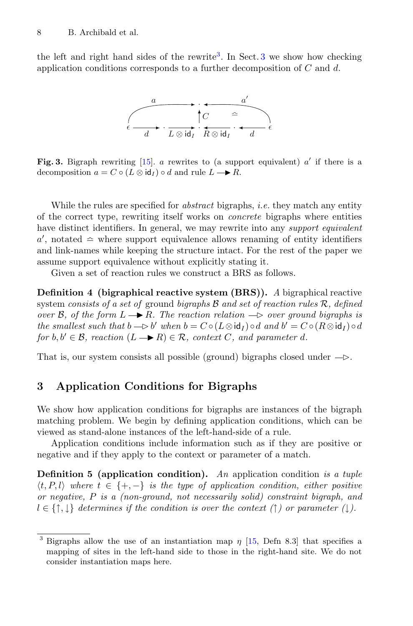the left and right hand sides of the rewrite<sup>[3](#page-5-0)</sup>. In Sect. 3 we show how checking application conditions corresponds to a further decomposition of  $C$  and  $d$ .



<span id="page-5-1"></span>Fig. 3. Bigraph rewriting  $[15]$  $[15]$ . a rewrites to (a support equivalent)  $a'$  if there is a decomposition  $a = C \circ (L \otimes id_I) \circ d$  and rule  $L \longrightarrow R$ .

While the rules are specified for *abstract* bigraphs, *i.e.* they match any entity of the correct type, rewriting itself works on *concrete* bigraphs where entities have distinct identifiers. In general, we may rewrite into any *support equivalent*  $a'$ , notated  $\approx$  where support equivalence allows renaming of entity identifiers and link-names while keeping the structure intact. For the rest of the paper we assume support equivalence without explicitly stating it.

<span id="page-5-3"></span>Given a set of reaction rules we construct a BRS as follows.

**Definition 4 (bigraphical reactive system (BRS)).** *A* bigraphical reactive system *consists of a set of* ground *bigraphs* B *and set of reaction rules* R*, defined over* B, of the form  $L \rightarrow R$ . The reaction relation  $\rightarrow$  over ground bigraphs is *the smallest such that*  $b \rightarrow b'$  *when*  $b = C \circ (L \otimes id_I) \circ d$  *and*  $b' = C \circ (R \otimes id_I) \circ d$ *for*  $b, b' \in \mathcal{B}$ *, reaction*  $(L \rightarrow R) \in \mathcal{R}$ *, context* C*, and parameter d.* 

That is, our system consists all possible (ground) bigraphs closed under  $-\triangleright$ .

## <span id="page-5-0"></span>**3 Application Conditions for Bigraphs**

We show how application conditions for bigraphs are instances of the bigraph matching problem. We begin by defining application conditions, which can be viewed as stand-alone instances of the left-hand-side of a rule.

Application conditions include information such as if they are positive or negative and if they apply to the context or parameter of a match.

**Definition 5 (application condition).** *An* application condition *is a tuple*  $\langle t, P, l \rangle$  where  $t \in \{+, -\}$  is the type of application condition, either positive *or negative,* P *is a (non-ground, not necessarily solid) constraint bigraph, and*  $l \in \{\uparrow,\downarrow\}$  determines if the condition is over the context  $(\uparrow)$  or parameter  $(\downarrow)$ .

<span id="page-5-2"></span>Bigraphs allow the use of an instantiation map  $\eta$  [\[15](#page-16-0), Defn 8.3] that specifies a mapping of sites in the left-hand side to those in the right-hand site. We do not consider instantiation maps here.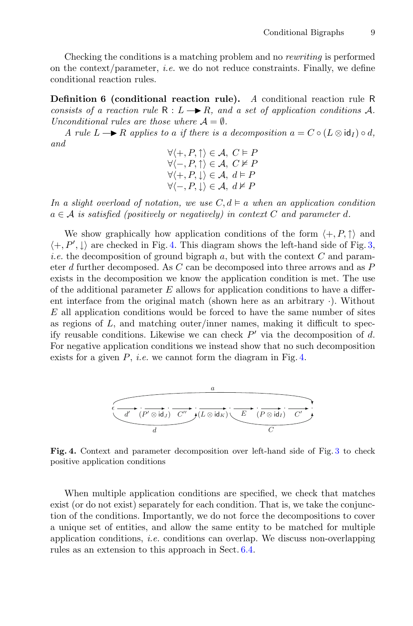Checking the conditions is a matching problem and no *rewriting* is performed on the context/parameter, *i.e.* we do not reduce constraints. Finally, we define conditional reaction rules.

**Definition 6 (conditional reaction rule).** *A* conditional reaction rule R *consists of a reaction rule*  $R: L \rightarrow R$ *, and a set of application conditions* A. *Unconditional rules are those where*  $\mathcal{A} = \emptyset$ *.* 

*A* rule  $L \rightarrow \mathbb{R}$  applies to a *if there is a decomposition*  $a = C \circ (L \otimes id_I) \circ d$ , *and*

| $\forall \langle +, P, \uparrow \rangle \in \mathcal{A}, C \models P$         |
|-------------------------------------------------------------------------------|
| $\forall \langle -, P, \uparrow \rangle \in \mathcal{A}, C \not\models P$     |
| $\forall \langle +, P, \downarrow \rangle \in \mathcal{A}, d \models P$       |
| $\forall \langle -, P, \downarrow \rangle \in \mathcal{A}, \ d \not\models P$ |
|                                                                               |

*In a slight overload of notation, we use*  $C, d \models a$  *when an application condition*  $a \in \mathcal{A}$  *is satisfied (positively or negatively) in context* C and parameter d.

We show graphically how application conditions of the form  $\langle +, P, \uparrow \rangle$  and  $\langle +, P', \downarrow \rangle$  are checked in Fig. [4.](#page-6-0) This diagram shows the left-hand side of Fig. [3,](#page-5-1) *i.e.* the decomposition of ground bigraph a, but with the context  $C$  and parameter d further decomposed. As C can be decomposed into three arrows and as P exists in the decomposition we know the application condition is met. The use of the additional parameter  $E$  allows for application conditions to have a different interface from the original match (shown here as an arbitrary ·). Without E all application conditions would be forced to have the same number of sites as regions of  $L$ , and matching outer/inner names, making it difficult to specify reusable conditions. Likewise we can check  $P'$  via the decomposition of d. For negative application conditions we instead show that no such decomposition exists for a given P, *i.e.* we cannot form the diagram in Fig. [4.](#page-6-0)



<span id="page-6-0"></span>**Fig. 4.** Context and parameter decomposition over left-hand side of Fig. [3](#page-5-1) to check positive application conditions

When multiple application conditions are specified, we check that matches exist (or do not exist) separately for each condition. That is, we take the conjunction of the conditions. Importantly, we do not force the decompositions to cover a unique set of entities, and allow the same entity to be matched for multiple application conditions, *i.e.* conditions can overlap. We discuss non-overlapping rules as an extension to this approach in Sect. [6.4.](#page-13-0)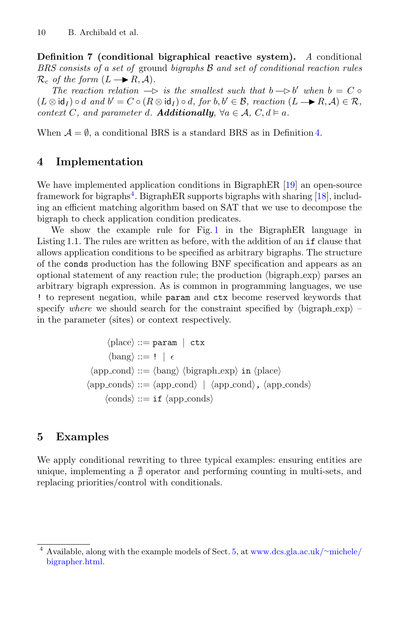**Definition 7 (conditional bigraphical reactive system).** *A* conditional *BRS consists of a set of* ground *bigraphs* B *and set of conditional reaction rules*  $\mathcal{R}_c$  *of the form*  $(L \rightarrow R, \mathcal{A})$ *.* 

*The reaction relation*  $\Rightarrow$  *is the smallest such that*  $b \Rightarrow b'$  *when*  $b = C \circ$  $(L \otimes id_I) \circ d$  *and*  $b' = C \circ (R \otimes id_I) \circ d$ *, for*  $b, b' \in \mathcal{B}$ *, reaction*  $(L \rightarrow R, \mathcal{A}) \in \mathcal{R}$ *, context* C*, and parameter d. <i>Additionally*,  $\forall a \in \mathcal{A}, C, d \models a$ .

When  $A = \emptyset$ , a conditional BRS is a standard BRS as in Definition [4.](#page-5-3)

# **4 Implementation**

We have implemented application conditions in BigraphER [\[19](#page-16-2)] an open-source framework for bigraphs<sup>[4](#page-7-1)</sup>. BigraphER supports bigraphs with sharing [\[18](#page-16-3)], including an efficient matching algorithm based on SAT that we use to decompose the bigraph to check application condition predicates.

We show the example rule for Fig. [1](#page-1-0) in the BigraphER language in Listing 1.1. The rules are written as before, with the addition of an if clause that allows application conditions to be specified as arbitrary bigraphs. The structure of the conds production has the following BNF specification and appears as an optional statement of any reaction rule; the production  $\langle$ bigraph exp $\rangle$  parses an arbitrary bigraph expression. As is common in programming languages, we use ! to represent negation, while param and ctx become reserved keywords that specify *where* we should search for the constraint specified by  $\langle$ bigraph\_exp $\rangle$  – in the parameter (sites) or context respectively.

$$
\langle \text{place} \rangle ::= \text{param} \mid \text{ctx}
$$
\n
$$
\langle \text{bang} \rangle ::= ! \mid \epsilon
$$
\n
$$
\langle \text{appcond} \rangle ::= \langle \text{bang} \rangle \langle \text{bigraph} \text{ } \text{exp} \rangle \text{ in } \langle \text{place} \rangle
$$
\n
$$
\langle \text{app} \text{ } \text{cond} \rangle ::= \langle \text{app} \text{ } \text{cond} \rangle \mid \langle \text{app} \text{ } \text{cond} \rangle, \langle \text{app} \text{ } \text{cond} \rangle
$$
\n
$$
\langle \text{conds} \rangle ::= \text{if } \langle \text{app} \text{ } \text{conds} \rangle
$$

# <span id="page-7-0"></span>**5 Examples**

We apply conditional rewriting to three typical examples: ensuring entities are unique, implementing a  $\sharp$  operator and performing counting in multi-sets, and replacing priorities/control with conditionals.

<span id="page-7-1"></span><sup>4</sup> Available, along with the example models of Sect. [5,](#page-7-0) at [www.dcs.gla.ac.uk/](www.dcs.gla.ac.uk/~michele/bigrapher.html)∼michele/ [bigrapher.html.](www.dcs.gla.ac.uk/~michele/bigrapher.html)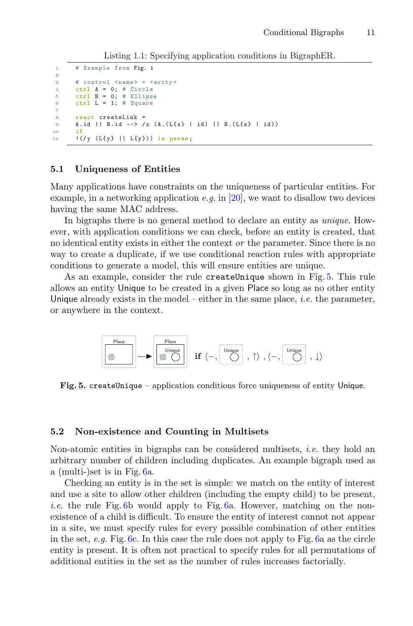Listing 1.1: Specifying application conditions in BigraphER.

```
1 # Example from Fig. 1
2
3 # control <name > = <arity > \frac{1}{4} = 0: # Circle
4 ctrl A = 0; # Circle<br>5 ctrl B = 0: # Ellips
5 ctrl B = 0; # Ellipse
       ctrl L = 1; # Square
 7
8 react createLink =<br>9 A id II R id --> /
       A.id || B.id --> /x (A.(L{x} | id) || B.(L{x} | id))
1011 ! ! (y \in L{y} \cup L{y}) in param;
```
#### **5.1 Uniqueness of Entities**

Many applications have constraints on the uniqueness of particular entities. For example, in a networking application *e.g.* in [\[20](#page-16-5)], we want to disallow two devices having the same MAC address.

In bigraphs there is no general method to declare an entity as *unique*. However, with application conditions we can check, before an entity is created, that no identical entity exists in either the context *or* the parameter. Since there is no way to create a duplicate, if we use conditional reaction rules with appropriate conditions to generate a model, this will ensure entities are unique.

As an example, consider the rule createUnique shown in Fig. [5.](#page-8-0) This rule allows an entity Unique to be created in a given Place so long as no other entity Unique already exists in the model – either in the same place, *i.e.* the parameter, or anywhere in the context.



<span id="page-8-0"></span>**Fig. 5.** createUnique – application conditions force uniqueness of entity Unique.

#### **5.2 Non-existence and Counting in Multisets**

Non-atomic entities in bigraphs can be considered multisets, *i.e.* they hold an arbitrary number of children including duplicates. An example bigraph used as a (multi-)set is in Fig. [6a](#page-9-0).

Checking an entity is in the set is simple: we match on the entity of interest and use a site to allow other children (including the empty child) to be present, *i.e.* the rule Fig. [6b](#page-9-0) would apply to Fig. [6a](#page-9-0). However, matching on the nonexistence of a child is difficult. To ensure the entity of interest cannot not appear in a site, we must specify rules for every possible combination of other entities in the set, *e.g.* Fig. [6c](#page-9-0). In this case the rule does not apply to Fig. [6a](#page-9-0) as the circle entity is present. It is often not practical to specify rules for all permutations of additional entities in the set as the number of rules increases factorially.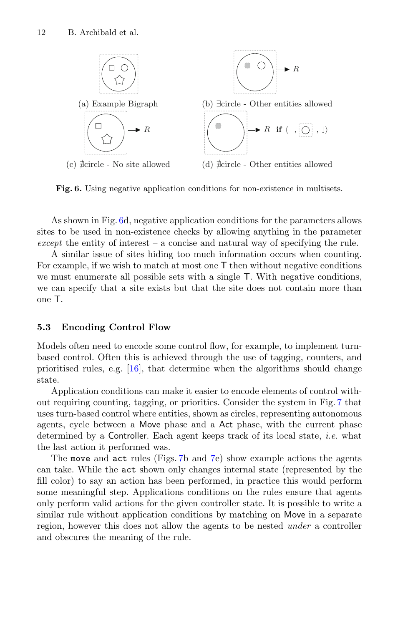

<span id="page-9-0"></span>**Fig. 6.** Using negative application conditions for non-existence in multisets.

As shown in Fig. [6d](#page-9-0), negative application conditions for the parameters allows sites to be used in non-existence checks by allowing anything in the parameter *except* the entity of interest – a concise and natural way of specifying the rule.

A similar issue of sites hiding too much information occurs when counting. For example, if we wish to match at most one  $\mathsf T$  then without negative conditions we must enumerate all possible sets with a single T. With negative conditions, we can specify that a site exists but that the site does not contain more than one T.

#### **5.3 Encoding Control Flow**

Models often need to encode some control flow, for example, to implement turnbased control. Often this is achieved through the use of tagging, counters, and prioritised rules, e.g.  $[16]$ , that determine when the algorithms should change state.

Application conditions can make it easier to encode elements of control without requiring counting, tagging, or priorities. Consider the system in Fig. [7](#page-10-1) that uses turn-based control where entities, shown as circles, representing autonomous agents, cycle between a Move phase and a Act phase, with the current phase determined by a Controller. Each agent keeps track of its local state, *i.e.* what the last action it performed was.

The move and act rules (Figs. [7b](#page-10-1) and [7e](#page-10-1)) show example actions the agents can take. While the act shown only changes internal state (represented by the fill color) to say an action has been performed, in practice this would perform some meaningful step. Applications conditions on the rules ensure that agents only perform valid actions for the given controller state. It is possible to write a similar rule without application conditions by matching on Move in a separate region, however this does not allow the agents to be nested *under* a controller and obscures the meaning of the rule.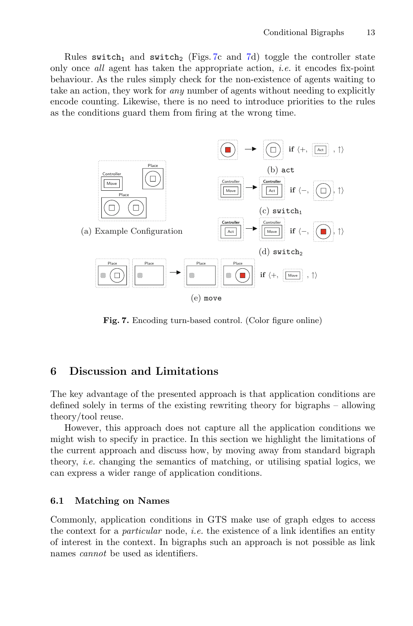Rules switch<sub>1</sub> and switch<sub>2</sub> (Figs. [7c](#page-10-1) and [7d](#page-10-1)) toggle the controller state only once *all* agent has taken the appropriate action, *i.e.* it encodes fix-point behaviour. As the rules simply check for the non-existence of agents waiting to take an action, they work for *any* number of agents without needing to explicitly encode counting. Likewise, there is no need to introduce priorities to the rules as the conditions guard them from firing at the wrong time.



<span id="page-10-1"></span>**Fig. 7.** Encoding turn-based control. (Color figure online)

# <span id="page-10-0"></span>**6 Discussion and Limitations**

The key advantage of the presented approach is that application conditions are defined solely in terms of the existing rewriting theory for bigraphs – allowing theory/tool reuse.

However, this approach does not capture all the application conditions we might wish to specify in practice. In this section we highlight the limitations of the current approach and discuss how, by moving away from standard bigraph theory, *i.e.* changing the semantics of matching, or utilising spatial logics, we can express a wider range of application conditions.

#### **6.1 Matching on Names**

Commonly, application conditions in GTS make use of graph edges to access the context for a *particular* node, *i.e.* the existence of a link identifies an entity of interest in the context. In bigraphs such an approach is not possible as link names *cannot* be used as identifiers.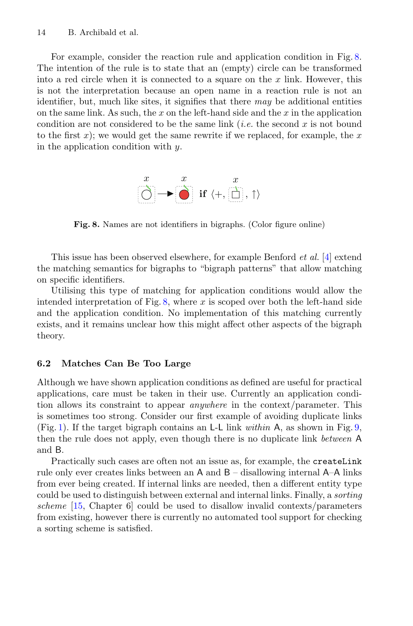For example, consider the reaction rule and application condition in Fig. [8.](#page-11-0) The intention of the rule is to state that an (empty) circle can be transformed into a red circle when it is connected to a square on the  $x$  link. However, this is not the interpretation because an open name in a reaction rule is not an identifier, but, much like sites, it signifies that there *may* be additional entities on the same link. As such, the  $x$  on the left-hand side and the  $x$  in the application condition are not considered to be the same link (*i.e.* the second x is not bound to the first  $x$ ); we would get the same rewrite if we replaced, for example, the  $x$ in the application condition with  $y$ .



<span id="page-11-0"></span>**Fig. 8.** Names are not identifiers in bigraphs. (Color figure online)

This issue has been observed elsewhere, for example Benford *et al.* [\[4\]](#page-15-0) extend the matching semantics for bigraphs to "bigraph patterns" that allow matching on specific identifiers.

Utilising this type of matching for application conditions would allow the intended interpretation of Fig. [8,](#page-11-0) where  $x$  is scoped over both the left-hand side and the application condition. No implementation of this matching currently exists, and it remains unclear how this might affect other aspects of the bigraph theory.

### **6.2 Matches Can Be Too Large**

Although we have shown application conditions as defined are useful for practical applications, care must be taken in their use. Currently an application condition allows its constraint to appear *anywhere* in the context/parameter. This is sometimes too strong. Consider our first example of avoiding duplicate links (Fig. [1\)](#page-1-0). If the target bigraph contains an L-L link *within* A, as shown in Fig. [9,](#page-12-0) then the rule does not apply, even though there is no duplicate link *between* A and B.

Practically such cases are often not an issue as, for example, the createLink rule only ever creates links between an A and B – disallowing internal A–A links from ever being created. If internal links are needed, then a different entity type could be used to distinguish between external and internal links. Finally, a *sorting scheme* [\[15](#page-16-0), Chapter 6] could be used to disallow invalid contexts/parameters from existing, however there is currently no automated tool support for checking a sorting scheme is satisfied.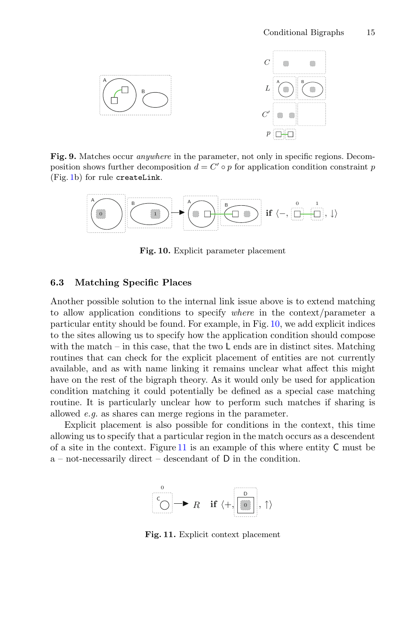

<span id="page-12-0"></span>**Fig. 9.** Matches occur *anywhere* in the parameter, not only in specific regions. Decomposition shows further decomposition  $d = C' \circ p$  for application condition constraint p (Fig. [1b](#page-1-0)) for rule createLink.



<span id="page-12-1"></span>**Fig. 10.** Explicit parameter placement

#### **6.3 Matching Specific Places**

Another possible solution to the internal link issue above is to extend matching to allow application conditions to specify *where* in the context/parameter a particular entity should be found. For example, in Fig. [10,](#page-12-1) we add explicit indices to the sites allowing us to specify how the application condition should compose with the match – in this case, that the two  $L$  ends are in distinct sites. Matching routines that can check for the explicit placement of entities are not currently available, and as with name linking it remains unclear what affect this might have on the rest of the bigraph theory. As it would only be used for application condition matching it could potentially be defined as a special case matching routine. It is particularly unclear how to perform such matches if sharing is allowed *e.g.* as shares can merge regions in the parameter.

Explicit placement is also possible for conditions in the context, this time allowing us to specify that a particular region in the match occurs as a descendent of a site in the context. Figure [11](#page-12-2) is an example of this where entity C must be a – not-necessarily direct – descendant of D in the condition.



<span id="page-12-2"></span>**Fig. 11.** Explicit context placement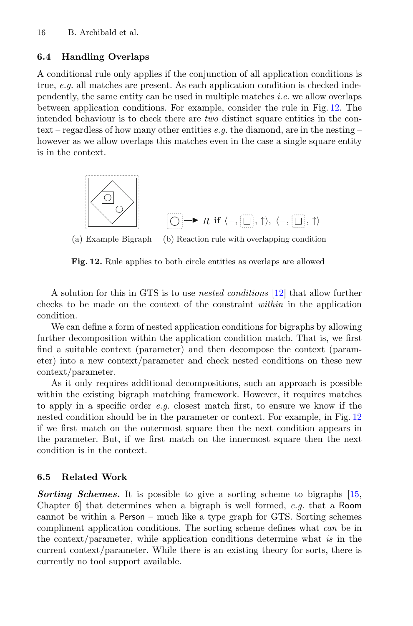#### <span id="page-13-0"></span>**6.4 Handling Overlaps**

A conditional rule only applies if the conjunction of all application conditions is true, *e.g.* all matches are present. As each application condition is checked independently, the same entity can be used in multiple matches *i.e.* we allow overlaps between application conditions. For example, consider the rule in Fig. [12.](#page-13-1) The intended behaviour is to check there are *two* distinct square entities in the context – regardless of how many other entities  $e.g.$  the diamond, are in the nesting – however as we allow overlaps this matches even in the case a single square entity is in the context.



<span id="page-13-1"></span>**Fig. 12.** Rule applies to both circle entities as overlaps are allowed

A solution for this in GTS is to use *nested conditions* [\[12](#page-16-7)] that allow further checks to be made on the context of the constraint *within* in the application condition.

We can define a form of nested application conditions for bigraphs by allowing further decomposition within the application condition match. That is, we first find a suitable context (parameter) and then decompose the context (parameter) into a new context/parameter and check nested conditions on these new context/parameter.

As it only requires additional decompositions, such an approach is possible within the existing bigraph matching framework. However, it requires matches to apply in a specific order *e.g.* closest match first, to ensure we know if the nested condition should be in the parameter or context. For example, in Fig. [12](#page-13-1) if we first match on the outermost square then the next condition appears in the parameter. But, if we first match on the innermost square then the next condition is in the context.

#### **6.5 Related Work**

*Sorting Schemes.* It is possible to give a sorting scheme to bigraphs [\[15](#page-16-0), Chapter 6] that determines when a bigraph is well formed, *e.g.* that a Room cannot be within a Person – much like a type graph for GTS. Sorting schemes compliment application conditions. The sorting scheme defines what *can* be in the context/parameter, while application conditions determine what *is* in the current context/parameter. While there is an existing theory for sorts, there is currently no tool support available.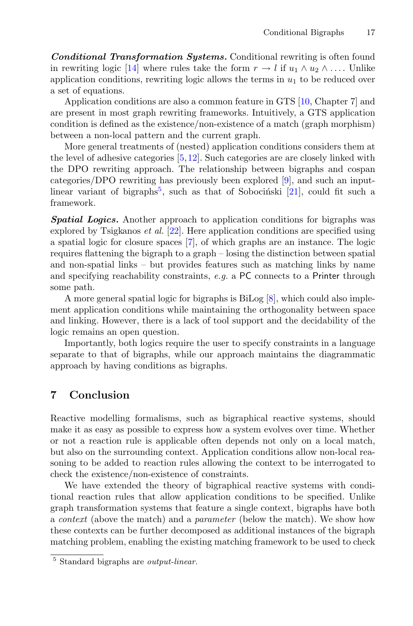*Conditional Transformation Systems.* Conditional rewriting is often found in rewriting logic [\[14](#page-16-8)] where rules take the form  $r \to l$  if  $u_1 \wedge u_2 \wedge \ldots$  Unlike application conditions, rewriting logic allows the terms in  $u_1$  to be reduced over a set of equations.

Application conditions are also a common feature in GTS [\[10,](#page-15-6) Chapter 7] and are present in most graph rewriting frameworks. Intuitively, a GTS application condition is defined as the existence/non-existence of a match (graph morphism) between a non-local pattern and the current graph.

More general treatments of (nested) application conditions considers them at the level of adhesive categories [\[5](#page-15-7),[12\]](#page-16-7). Such categories are are closely linked with the DPO rewriting approach. The relationship between bigraphs and cospan categories/DPO rewriting has previously been explored [\[9](#page-15-8)], and such an input-linear variant of bigraphs<sup>[5](#page-14-0)</sup>, such as that of Sobocinski  $[21]$ , could fit such a framework.

*Spatial Logics.* Another approach to application conditions for bigraphs was explored by Tsigkanos *et al.* [\[22](#page-16-10)]. Here application conditions are specified using a spatial logic for closure spaces [\[7\]](#page-15-9), of which graphs are an instance. The logic requires flattening the bigraph to a graph – losing the distinction between spatial and non-spatial links – but provides features such as matching links by name and specifying reachability constraints, *e.g.* a PC connects to a Printer through some path.

A more general spatial logic for bigraphs is BiLog [\[8\]](#page-15-10), which could also implement application conditions while maintaining the orthogonality between space and linking. However, there is a lack of tool support and the decidability of the logic remains an open question.

Importantly, both logics require the user to specify constraints in a language separate to that of bigraphs, while our approach maintains the diagrammatic approach by having conditions as bigraphs.

# **7 Conclusion**

Reactive modelling formalisms, such as bigraphical reactive systems, should make it as easy as possible to express how a system evolves over time. Whether or not a reaction rule is applicable often depends not only on a local match, but also on the surrounding context. Application conditions allow non-local reasoning to be added to reaction rules allowing the context to be interrogated to check the existence/non-existence of constraints.

We have extended the theory of bigraphical reactive systems with conditional reaction rules that allow application conditions to be specified. Unlike graph transformation systems that feature a single context, bigraphs have both a *context* (above the match) and a *parameter* (below the match). We show how these contexts can be further decomposed as additional instances of the bigraph matching problem, enabling the existing matching framework to be used to check

<span id="page-14-0"></span><sup>5</sup> Standard bigraphs are *output-linear.*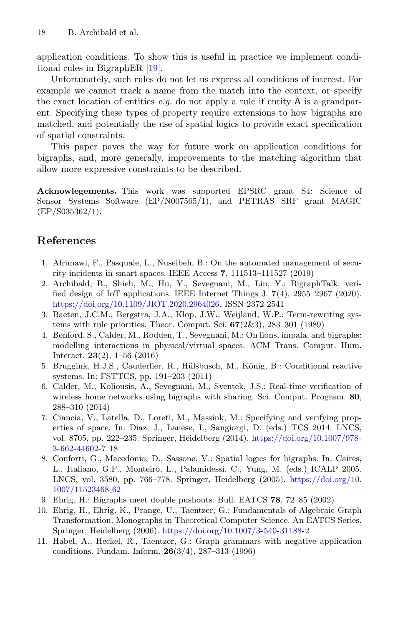application conditions. To show this is useful in practice we implement conditional rules in BigraphER [\[19](#page-16-2)].

Unfortunately, such rules do not let us express all conditions of interest. For example we cannot track a name from the match into the context, or specify the exact location of entities  $e.g.$  do not apply a rule if entity  $A$  is a grandparent. Specifying these types of property require extensions to how bigraphs are matched, and potentially the use of spatial logics to provide exact specification of spatial constraints.

This paper paves the way for future work on application conditions for bigraphs, and, more generally, improvements to the matching algorithm that allow more expressive constraints to be described.

**Acknowlegements.** This work was supported EPSRC grant S4: Science of Sensor Systems Software (EP/N007565/1), and PETRAS SRF grant MAGIC (EP/S035362/1).

# **References**

- <span id="page-15-3"></span>1. Alrimawi, F., Pasquale, L., Nuseibeh, B.: On the automated management of security incidents in smart spaces. IEEE Access **7**, 111513–111527 (2019)
- <span id="page-15-2"></span>2. Archibald, B., Shieh, M., Hu, Y., Sevegnani, M., Lin, Y.: BigraphTalk: verified design of IoT applications. IEEE Internet Things J. **7**(4), 2955–2967 (2020). [https://doi.org/10.1109/JIOT.2020.2964026.](https://doi.org/10.1109/JIOT.2020.2964026) ISSN 2372-2541
- <span id="page-15-5"></span>3. Baeten, J.C.M., Bergstra, J.A., Klop, J.W., Weijland, W.P.: Term-rewriting systems with rule priorities. Theor. Comput. Sci. **67**(2&3), 283–301 (1989)
- <span id="page-15-0"></span>4. Benford, S., Calder, M., Rodden, T., Sevegnani, M.: On lions, impala, and bigraphs: modelling interactions in physical/virtual spaces. ACM Trans. Comput. Hum. Interact. **23**(2), 1–56 (2016)
- <span id="page-15-7"></span>5. Bruggink, H.J.S., Cauderlier, R., Hülsbusch, M., König, B.: Conditional reactive systems. In: FSTTCS, pp. 191–203 (2011)
- <span id="page-15-1"></span>6. Calder, M., Koliousis, A., Sevegnani, M., Sventek, J.S.: Real-time verification of wireless home networks using bigraphs with sharing. Sci. Comput. Program. **80**, 288–310 (2014)
- <span id="page-15-9"></span>7. Ciancia, V., Latella, D., Loreti, M., Massink, M.: Specifying and verifying properties of space. In: Diaz, J., Lanese, I., Sangiorgi, D. (eds.) TCS 2014. LNCS, vol. 8705, pp. 222–235. Springer, Heidelberg (2014). [https://doi.org/10.1007/978-](https://doi.org/10.1007/978-3-662-44602-7_18) [3-662-44602-7](https://doi.org/10.1007/978-3-662-44602-7_18) 18
- <span id="page-15-10"></span>8. Conforti, G., Macedonio, D., Sassone, V.: Spatial logics for bigraphs. In: Caires, L., Italiano, G.F., Monteiro, L., Palamidessi, C., Yung, M. (eds.) ICALP 2005. LNCS, vol. 3580, pp. 766–778. Springer, Heidelberg (2005). [https://doi.org/10.](https://doi.org/10.1007/11523468_62) [1007/11523468](https://doi.org/10.1007/11523468_62) 62
- <span id="page-15-8"></span>9. Ehrig, H.: Bigraphs meet double pushouts. Bull. EATCS **78**, 72–85 (2002)
- <span id="page-15-6"></span>10. Ehrig, H., Ehrig, K., Prange, U., Taentzer, G.: Fundamentals of Algebraic Graph Transformation. Monographs in Theoretical Computer Science. An EATCS Series. Springer, Heidelberg (2006). <https://doi.org/10.1007/3-540-31188-2>
- <span id="page-15-4"></span>11. Habel, A., Heckel, R., Taentzer, G.: Graph grammars with negative application conditions. Fundam. Inform. **26**(3/4), 287–313 (1996)